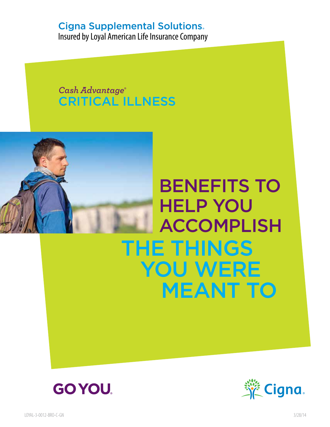### Cigna Supplemental Solutions

Insured by Loyal American Life Insurance Company

*Cash Advantage®* CRITICAL ILLNESS



# THE THINGS<br>YOU WERE<br>MEANT TO BENEFITS To HELP yOU ACCOMPLISH





LOYAL-3-0012-BRO-C-GN 3/28/14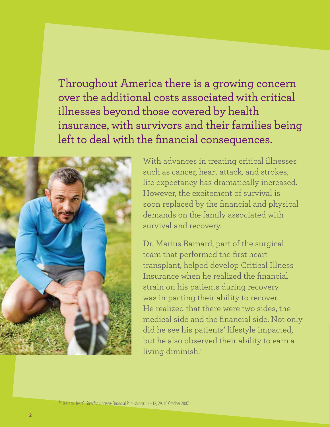Throughout America there is a growing concern over the additional costs associated with critical illnesses beyond those covered by health insurance, with survivors and their families being left to deal with the financial consequences.



With advances in treating critical illnesses such as cancer, heart attack, and strokes, life expectancy has dramatically increased. However, the excitement of survival is soon replaced by the financial and physical demands on the family associated with survival and recovery.

Dr. Marius Barnard, part of the surgical team that performed the first heart transplant, helped develop Critical Illness Insurance when he realized the financial strain on his patients during recovery was impacting their ability to recover. He realized that there were two sides, the medical side and the financial side. Not only did he see his patients' lifestyle impacted, but he also observed their ability to earn a living diminish.<sup>1</sup>

**1** "Heart to Heart". *CoverTen* (Incisive Financial Publishing): 11–12, 29, 10 October 2007.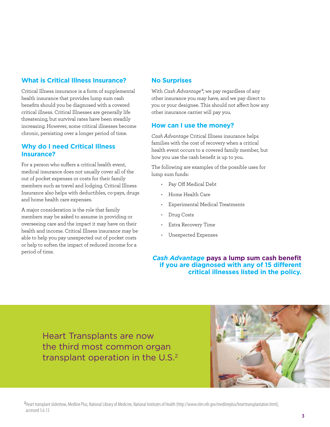#### **What is Critical Illness Insurance?**

Critical Illness insurance is a form of supplemental health insurance that provides lump sum cash benefits should you be diagnosed with a covered critical illness. Critical Illnesses are generally life threatening, but survival rates have been steadily increasing. However, some critical illnesses become chronic, persisting over a longer period of time.

#### **Why do I need Critical Illness Insurance?**

For a person who suffers a critical health event, medical insurance does not usually cover all of the out of pocket expenses or costs for their family members such as travel and lodging. Critical Illness Insurance also helps with deductibles, co-pays, drugs and home health care expenses.

A major consideration is the role that family members may be asked to assume in providing or overseeing care and the impact it may have on their health and income. Critical Illness insurance may be able to help you pay unexpected out of pocket costs or help to soften the impact of reduced income for a period of time.

#### **No Surprises**

With *Cash Advantage®*, we pay regardless of any other insurance you may have, and we pay direct to you or your designee. This should not affect how any other insurance carrier will pay you.

#### **How can I use the money?**

*Cash Advantage* Critical Illness insurance helps families with the cost of recovery when a critical health event occurs to a covered family member, but how you use the cash benefit is up to you.

The following are examples of the possible uses for lump sum funds:

- • Pay Off Medical Debt
- • Home Health Care
- Experimental Medical Treatments
- Drug Costs
- Extra Recovery Time
- Unexpected Expenses

*Cash Advantage* **pays a lump sum cash benefit if you are diagnosed with any of 15 different critical illnesses listed in the policy.** 

Heart Transplants are now the third most common organ transplant operation in the U.S.2

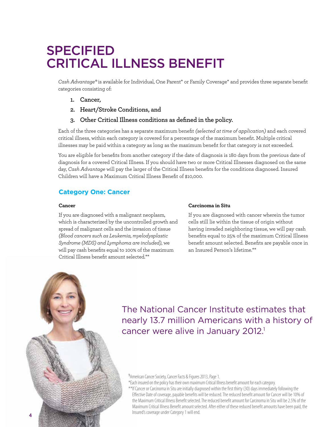## **SPECIFIED** CRITICAL Illness BENEFIT

*Cash Advantage®* is available for Individual, One Parent\* or Family Coverage\* and provides three separate benefit categories consisting of:

- **1. Cancer,**
- **2. Heart/Stroke Conditions, and**
- **3. Other Critical Illness conditions as defined in the policy.**

Each of the three categories has a separate maximum benefit *(selected at time of application)* and each covered critical illness, within each category is covered for a percentage of the maximum benefit. Multiple critical illnesses may be paid within a category as long as the maximum benefit for that category is not exceeded.

You are eligible for benefits from another category if the date of diagnosis is 180 days from the previous date of diagnosis for a covered Critical Illness. If you should have two or more Critical Illnesses diagnosed on the same day, *Cash Advantage* will pay the larger of the Critical Illness benefits for the conditions diagnosed. Insured Children will have a Maximum Critical Illness Benefit of \$10,000.

#### **Category One: Cancer**

#### **Cancer**

If you are diagnosed with a malignant neoplasm, which is characterized by the uncontrolled growth and spread of malignant cells and the invasion of tissue *(Blood cancers such as Leukemia, myelodysplastic Syndrome (MDS) and Lymphoma are included)*, we will pay cash benefits equal to 100% of the maximum Critical Illness benefit amount selected.\*\*

#### **Carcinoma in Situ**

If you are diagnosed with cancer wherein the tumor cells still lie within the tissue of origin without having invaded neighboring tissue, we will pay cash benefits equal to 25% of the maximum Critical Illness benefit amount selected. Benefits are payable once in an Insured Person's lifetime<sup>\*\*</sup>

The National Cancer Institute estimates that nearly 13.7 million Americans with a history of cancer were alive in January 2012.<sup>1</sup>

#### **1** American Cancer Society, Cancer Facts & Figures 2013, Page 1.

\*Each insured on the policy has their own maximum Critical Illness benefit amount for each category.

\*\*If Cancer or Carcinoma in Situ are initially diagnosed within the first thirty (30) days immediately following the Effective Date of coverage, payable benefits will be reduced. The reduced benefit amount for Cancer will be 10% of the Maximum Critical Illness Benefit selected. The reduced benefit amount for Carcinoma in Situ will be 2.5% of the Maximum Critical Illness Benefit amount selected. After either of these reduced benefit amounts have been paid, the Insured's coverage under Category 1 will end.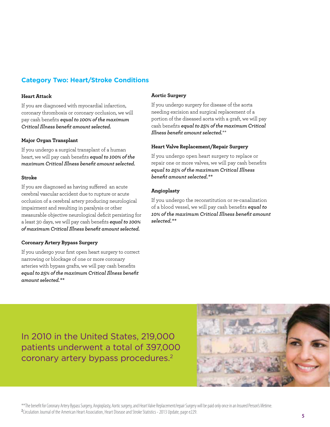#### **Category Two: Heart/Stroke Conditions**

#### **Heart Attack**

If you are diagnosed with myocardial infarction, coronary thrombosis or coronary occlusion, we will pay cash benefits *equal to 100% of the maximum Critical Illness benefit amount selected.*

#### **Major Organ Transplant**

If you undergo a surgical transplant of a human heart, we will pay cash benefits *equal to 100% of the maximum Critical Illness benefit amount selected.*

#### **Stroke**

If you are diagnosed as having suffered an acute cerebral vascular accident due to rupture or acute occlusion of a cerebral artery producing neurological impairment and resulting in paralysis or other measurable objective neurological deficit persisting for a least 30 days, we will pay cash benefits *equal to 100% of maximum Critical Illness benefit amount selected.*

#### **Coronary Artery Bypass Surgery**

If you undergo your first open heart surgery to correct narrowing or blockage of one or more coronary arteries with bypass grafts, we will pay cash benefits *equal to 25% of the maximum Critical Illness benefit amount selected.\*\**

#### **Aortic Surgery**

If you undergo surgery for disease of the aorta needing excision and surgical replacement of a portion of the diseased aorta with a graft, we will pay cash benefits *equal to 25% of the maximum Critical Illness benefit amount selected.*\*\*

#### **Heart Valve Replacement/Repair Surgery**

If you undergo open heart surgery to replace or repair one or more valves, we will pay cash benefits *equal to 25% of the maximum Critical Illness benefit amount selected.\*\**

#### **Angioplasty**

If you undergo the reconstitution or re-canalization of a blood vessel, we will pay cash benefits *equal to 10% of the maximum Critical Illness benefit amount selected.\*\**

In 2010 in the United States, 219,000 patients underwent a total of 397,000 coronary artery bypass procedures.2

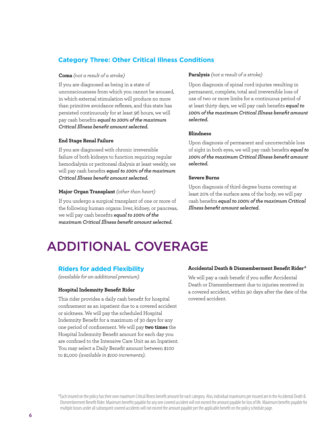#### **Category Three: Other Critical Illness Conditions**

#### **Coma** *(not a result of a stroke)*

If you are diagnosed as being in a state of unconsciousness from which you cannot be aroused, in which external stimulation will produce no more than primitive avoidance reflexes, and this state has persisted continuously for at least 96 hours, we will pay cash benefits *equal to 100% of the maximum Critical Illness benefit amount selected.*

#### **End Stage Renal Failure**

If you are diagnosed with chronic irreversible failure of both kidneys to function requiring regular hemodialysis or peritoneal dialysis at least weekly, we will pay cash benefits *equal to 100% of the maximum Critical Illness benefit amount selected.*

#### **Major Organ Transplant** *(other than heart)*

If you undergo a surgical transplant of one or more of the following human organs: liver, kidney, or pancreas, we will pay cash benefits *equal to 100% of the maximum Critical Illness benefit amount selected.*

#### **Paralysis** *(not a result of a stroke)*

Upon diagnosis of spinal cord injuries resulting in permanent, complete, total and irreversible loss of use of two or more limbs for a continuous period of at least thirty days, we will pay cash benefits *equal to 100% of the maximum Critical Illness benefit amount selected.*

#### **Blindness**

Upon diagnosis of permanent and uncorrectable loss of sight in both eyes, we will pay cash benefits *equal to 100% of the maximum Critical Illness benefit amount selected.*

#### **Severe Burns**

Upon diagnosis of third degree burns covering at least 20% of the surface area of the body, we will pay cash benefits *equal to 100% of the maximum Critical Illness benefit amount selected.*

# Additional Coverage

#### **Riders for added Flexibility**

*(available for an additional premium)* 

#### **Hospital Indemnity Benefit Rider**

This rider provides a daily cash benefit for hospital confinement as an inpatient due to a covered accident or sickness. We will pay the scheduled Hospital Indemnity Benefit for a maximum of 30 days for any one period of confinement. We will pay **two times** the Hospital Indemnity Benefit amount for each day you are confined to the Intensive Care Unit as an Inpatient. You may select a Daily Benefit amount between \$100 to \$1,000 *(available in \$100 increments)*.

#### **Accidental Death & Dismemberment Benefit Rider\***

We will pay a cash benefit if you suffer Accidental Death or Dismemberment due to injuries received in a covered accident, within 90 days after the date of the covered accident.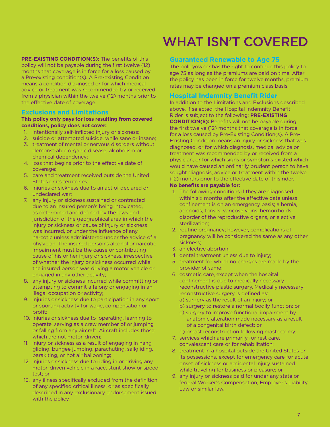**PRE-EXISTING CONDITION(S):** The benefits of this policy will not be payable during the first twelve (12) months that coverage is in force for a loss caused by a Pre-existing condition(s). A Pre-existing Condition means a condition diagnosed or for which medical advice or treatment was recommended by or received from a physician within the twelve (12) months prior to the effective date of coverage.

#### **Exclusions and Limitations**

#### **This policy only pays for loss resulting from covered conditions, policy does not cover:**

- 1. intentionally self-inflicted injury or sickness;
- 2. suicide or attempted suicide, while sane or insane;
- 3. treatment of mental or nervous disorders without demonstrable organic disease, alcoholism or chemical dependency;
- 4. loss that begins prior to the effective date of coverage;
- 5. care and treatment received outside the United States or its territories;
- 6. injuries or sickness due to an act of declared or undeclared war;
- 7. any injury or sickness sustained or contracted due to an insured person's being intoxicated, as determined and defined by the laws and jurisdiction of the geographical area in which the injury or sickness or cause of injury or sickness was incurred, or under the influence of any narcotic unless administered under the advice of a physician. The insured person's alcohol or narcotic impairment must be the cause or contributing cause of his or her injury or sickness, irrespective of whether the injury or sickness occurred while the insured person was driving a motor vehicle or engaged in any other activity;
- 8. any injury or sickness incurred while committing or attempting to commit a felony or engaging in an illegal occupation or activity;
- 9. injuries or sickness due to participation in any sport or sporting activity for wage, compensation or profit;
- 10. injuries or sickness due to operating, learning to operate, serving as a crew member of or jumping or falling from any aircraft. Aircraft includes those which are not motor-driven;
- 11. injury or sickness as a result of engaging in hang gliding, bungee jumping, parachuting, sailgliding, parakiting, or hot air ballooning;
- 12. injuries or sickness due to riding in or driving any motor-driven vehicle in a race, stunt show or speed test; or
- 13. any illness specifically excluded from the definition of any specified critical illness, or as specifically described in any exclusionary endorsement issued with the policy.

## WHAT ISN'T COVERED

#### **Guaranteed Renewable to Age 75**

The policyowner has the right to continue this policy to age 75 as long as the premiums are paid on time. After the policy has been in force for twelve months, premium rates may be changed on a premium class basis.

#### **Hospital Indemnity Benefit Rider**

In addition to the Limitations and Exclusions described above, if selected, the Hospital Indemnity Benefit Rider is subject to the following: **PRE-EXISTING CONDITION(S):** Benefits will not be payable during the first twelve (12) months that coverage is in force for a loss caused by Pre-Existing Condition(s). A Pre-Existing Condition means an injury or sickness that was diagnosed, or for which diagnosis, medical advice or treatment was recommended by or received from a physician, or for which signs or symptoms existed which would have caused an ordinarily prudent person to have sought diagnosis, advice or treatment within the twelve

(12) months prior to the effective date of this rider.

#### **No benefits are payable for:**

- 1. The following conditions if they are diagnosed within six months after the effective date unless confinement is on an emergency basis; a hernia, adenoids, tonsils, varicose veins, hemorrhoids, disorder of the reproductive organs, or elective sterilization;
- 2. routine pregnancy; however, complications of pregnancy will be considered the same as any other sickness;
- 3. an elective abortion;
- 4. dental treatment unless due to injury;
- 5. treatment for which no charges are made by the provider of same;
- 6. cosmetic care, except when the hospital confinement is due to medically necessary reconstructive plastic surgery. Medically necessary reconstructive surgery is defined as: a) surgery as the result of an injury; or
	- b) surgery to restore a normal bodily function; or
	- c) surgery to improve functional impairment by anatomic alteration made necessary as a result of a congenital birth defect; or
	- d) breast reconstruction following mastectomy;
- 7. services which are primarily for rest care, convalescent care or for rehabilitation;
- 8. treatment in a hospital outside the United States or its possessions, except for emergency care for acute onset of sickness or accidental Injury sustained while traveling for business or pleasure; or
- 9. any injury or sickness paid for under any state or federal Worker's Compensation, Employer's Liability Law or similar law.